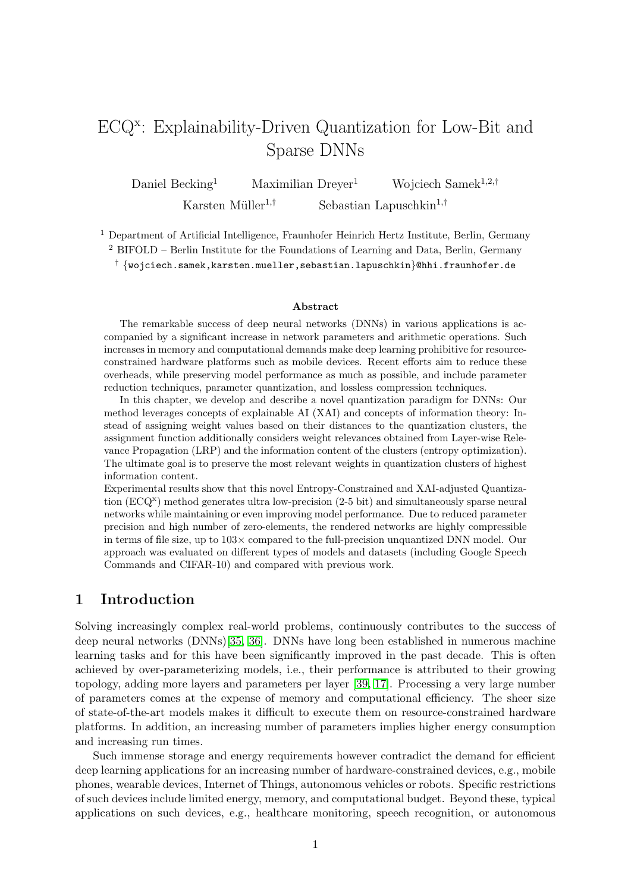# ECQ<sup>x</sup>: Explainability-Driven Quantization for Low-Bit and Sparse DNNs

Daniel Becking<sup>1</sup> Maximilian Dreyer<sup>1</sup> Wojciech Samek<sup>1,2,†</sup> Karsten Müller<sup>1,†</sup> Sebastian Lapuschkin<sup>1,†</sup>

 $<sup>1</sup>$  Department of Artificial Intelligence, Fraunhofer Heinrich Hertz Institute, Berlin, Germany</sup> <sup>2</sup> BIFOLD – Berlin Institute for the Foundations of Learning and Data, Berlin, Germany † {wojciech.samek,karsten.mueller,sebastian.lapuschkin}@hhi.fraunhofer.de

#### Abstract

The remarkable success of deep neural networks (DNNs) in various applications is accompanied by a significant increase in network parameters and arithmetic operations. Such increases in memory and computational demands make deep learning prohibitive for resourceconstrained hardware platforms such as mobile devices. Recent efforts aim to reduce these overheads, while preserving model performance as much as possible, and include parameter reduction techniques, parameter quantization, and lossless compression techniques.

In this chapter, we develop and describe a novel quantization paradigm for DNNs: Our method leverages concepts of explainable AI (XAI) and concepts of information theory: Instead of assigning weight values based on their distances to the quantization clusters, the assignment function additionally considers weight relevances obtained from Layer-wise Relevance Propagation (LRP) and the information content of the clusters (entropy optimization). The ultimate goal is to preserve the most relevant weights in quantization clusters of highest information content.

Experimental results show that this novel Entropy-Constrained and XAI-adjusted Quantization (ECQ<sup>x</sup>) method generates ultra low-precision (2-5 bit) and simultaneously sparse neural networks while maintaining or even improving model performance. Due to reduced parameter precision and high number of zero-elements, the rendered networks are highly compressible in terms of file size, up to  $103 \times$  compared to the full-precision unquantized DNN model. Our approach was evaluated on different types of models and datasets (including Google Speech Commands and CIFAR-10) and compared with previous work.

# 1 Introduction

Solving increasingly complex real-world problems, continuously contributes to the success of deep neural networks (DNNs)[\[35,](#page-19-0) [36\]](#page-19-1). DNNs have long been established in numerous machine learning tasks and for this have been significantly improved in the past decade. This is often achieved by over-parameterizing models, i.e., their performance is attributed to their growing topology, adding more layers and parameters per layer [\[39,](#page-19-2) [17\]](#page-18-0). Processing a very large number of parameters comes at the expense of memory and computational efficiency. The sheer size of state-of-the-art models makes it difficult to execute them on resource-constrained hardware platforms. In addition, an increasing number of parameters implies higher energy consumption and increasing run times.

Such immense storage and energy requirements however contradict the demand for efficient deep learning applications for an increasing number of hardware-constrained devices, e.g., mobile phones, wearable devices, Internet of Things, autonomous vehicles or robots. Specific restrictions of such devices include limited energy, memory, and computational budget. Beyond these, typical applications on such devices, e.g., healthcare monitoring, speech recognition, or autonomous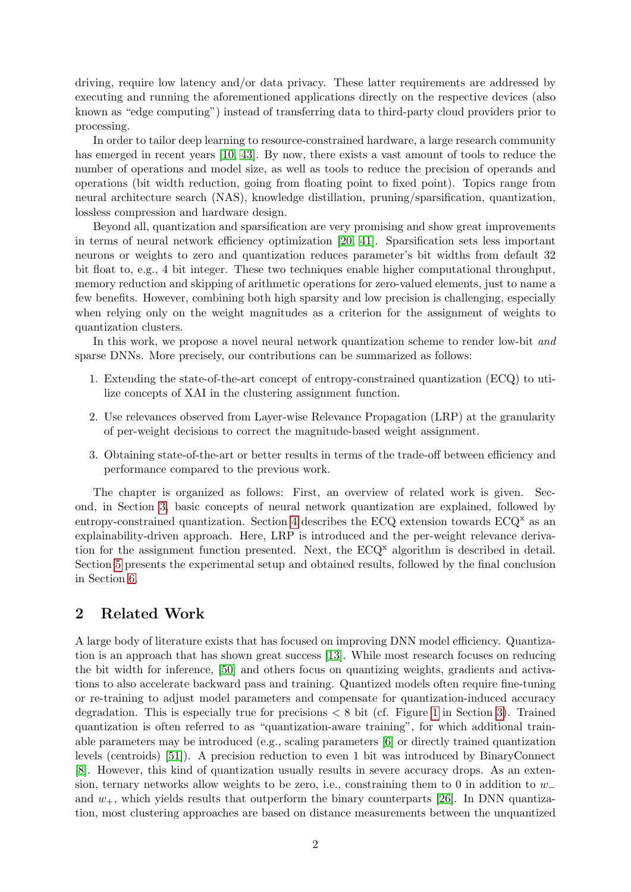driving, require low latency and/or data privacy. These latter requirements are addressed by executing and running the aforementioned applications directly on the respective devices (also known as "edge computing") instead of transferring data to third-party cloud providers prior to processing.

In order to tailor deep learning to resource-constrained hardware, a large research community has emerged in recent years [\[10,](#page-17-0) [43\]](#page-19-3). By now, there exists a vast amount of tools to reduce the number of operations and model size, as well as tools to reduce the precision of operands and operations (bit width reduction, going from floating point to fixed point). Topics range from neural architecture search (NAS), knowledge distillation, pruning/sparsification, quantization, lossless compression and hardware design.

Beyond all, quantization and sparsification are very promising and show great improvements in terms of neural network efficiency optimization [\[20,](#page-18-1) [41\]](#page-19-4). Sparsification sets less important neurons or weights to zero and quantization reduces parameter's bit widths from default 32 bit float to, e.g., 4 bit integer. These two techniques enable higher computational throughput, memory reduction and skipping of arithmetic operations for zero-valued elements, just to name a few benefits. However, combining both high sparsity and low precision is challenging, especially when relying only on the weight magnitudes as a criterion for the assignment of weights to quantization clusters.

In this work, we propose a novel neural network quantization scheme to render low-bit and sparse DNNs. More precisely, our contributions can be summarized as follows:

- 1. Extending the state-of-the-art concept of entropy-constrained quantization (ECQ) to utilize concepts of XAI in the clustering assignment function.
- 2. Use relevances observed from Layer-wise Relevance Propagation (LRP) at the granularity of per-weight decisions to correct the magnitude-based weight assignment.
- 3. Obtaining state-of-the-art or better results in terms of the trade-off between efficiency and performance compared to the previous work.

The chapter is organized as follows: First, an overview of related work is given. Second, in Section [3,](#page-3-0) basic concepts of neural network quantization are explained, followed by entropy-constrained quantization. Section [4](#page-5-0) describes the ECQ extension towards  $ECQ^x$  as an explainability-driven approach. Here, LRP is introduced and the per-weight relevance derivation for the assignment function presented. Next, the  $ECQ^x$  algorithm is described in detail. Section [5](#page-11-0) presents the experimental setup and obtained results, followed by the final conclusion in Section [6.](#page-15-0)

## 2 Related Work

A large body of literature exists that has focused on improving DNN model efficiency. Quantization is an approach that has shown great success [\[13\]](#page-17-1). While most research focuses on reducing the bit width for inference, [\[50\]](#page-20-0) and others focus on quantizing weights, gradients and activations to also accelerate backward pass and training. Quantized models often require fine-tuning or re-training to adjust model parameters and compensate for quantization-induced accuracy degradation. This is especially true for precisions  $\lt 8$  bit (cf. Figure [1](#page-3-1) in Section [3\)](#page-3-0). Trained quantization is often referred to as "quantization-aware training", for which additional trainable parameters may be introduced (e.g., scaling parameters [\[6\]](#page-17-2) or directly trained quantization levels (centroids) [\[51\]](#page-20-1)). A precision reduction to even 1 bit was introduced by BinaryConnect [\[8\]](#page-17-3). However, this kind of quantization usually results in severe accuracy drops. As an extension, ternary networks allow weights to be zero, i.e., constraining them to 0 in addition to  $w_-\$ and  $w_{+}$ , which yields results that outperform the binary counterparts [\[26\]](#page-18-2). In DNN quantization, most clustering approaches are based on distance measurements between the unquantized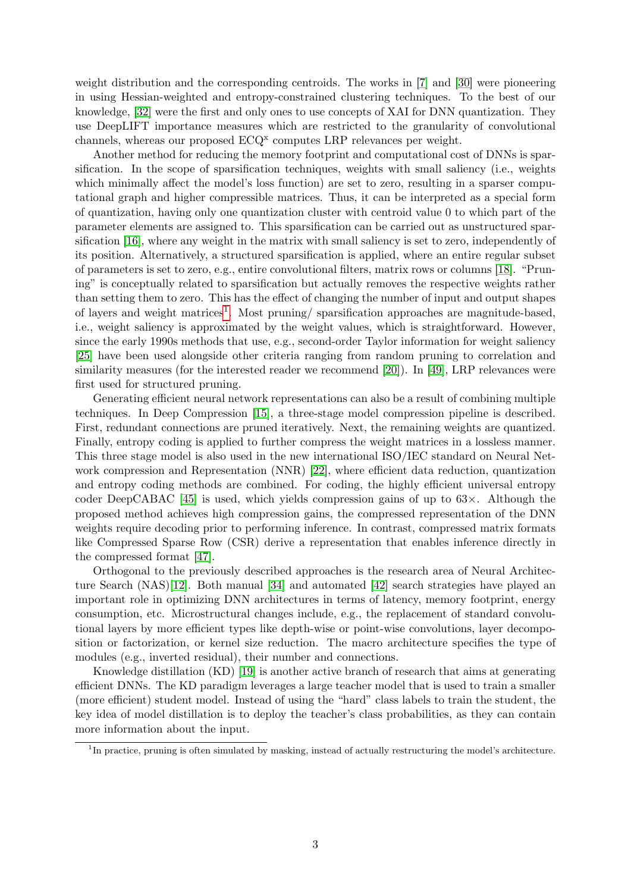weight distribution and the corresponding centroids. The works in [\[7\]](#page-17-4) and [\[30\]](#page-18-3) were pioneering in using Hessian-weighted and entropy-constrained clustering techniques. To the best of our knowledge, [\[32\]](#page-19-5) were the first and only ones to use concepts of XAI for DNN quantization. They use DeepLIFT importance measures which are restricted to the granularity of convolutional channels, whereas our proposed  $ECQ<sup>x</sup>$  computes LRP relevances per weight.

Another method for reducing the memory footprint and computational cost of DNNs is sparsification. In the scope of sparsification techniques, weights with small saliency (i.e., weights which minimally affect the model's loss function) are set to zero, resulting in a sparser computational graph and higher compressible matrices. Thus, it can be interpreted as a special form of quantization, having only one quantization cluster with centroid value 0 to which part of the parameter elements are assigned to. This sparsification can be carried out as unstructured sparsification [\[16\]](#page-18-4), where any weight in the matrix with small saliency is set to zero, independently of its position. Alternatively, a structured sparsification is applied, where an entire regular subset of parameters is set to zero, e.g., entire convolutional filters, matrix rows or columns [\[18\]](#page-18-5). "Pruning" is conceptually related to sparsification but actually removes the respective weights rather than setting them to zero. This has the effect of changing the number of input and output shapes of layers and weight matrices<sup>[1](#page-2-0)</sup>. Most pruning/ sparsification approaches are magnitude-based, i.e., weight saliency is approximated by the weight values, which is straightforward. However, since the early 1990s methods that use, e.g., second-order Taylor information for weight saliency [\[25\]](#page-18-6) have been used alongside other criteria ranging from random pruning to correlation and similarity measures (for the interested reader we recommend [\[20\]](#page-18-1)). In [\[49\]](#page-20-2), LRP relevances were first used for structured pruning.

Generating efficient neural network representations can also be a result of combining multiple techniques. In Deep Compression [\[15\]](#page-17-5), a three-stage model compression pipeline is described. First, redundant connections are pruned iteratively. Next, the remaining weights are quantized. Finally, entropy coding is applied to further compress the weight matrices in a lossless manner. This three stage model is also used in the new international ISO/IEC standard on Neural Network compression and Representation (NNR) [\[22\]](#page-18-7), where efficient data reduction, quantization and entropy coding methods are combined. For coding, the highly efficient universal entropy coder DeepCABAC [\[45\]](#page-19-6) is used, which yields compression gains of up to  $63\times$ . Although the proposed method achieves high compression gains, the compressed representation of the DNN weights require decoding prior to performing inference. In contrast, compressed matrix formats like Compressed Sparse Row (CSR) derive a representation that enables inference directly in the compressed format [\[47\]](#page-20-3).

Orthogonal to the previously described approaches is the research area of Neural Architecture Search (NAS)[\[12\]](#page-17-6). Both manual [\[34\]](#page-19-7) and automated [\[42\]](#page-19-8) search strategies have played an important role in optimizing DNN architectures in terms of latency, memory footprint, energy consumption, etc. Microstructural changes include, e.g., the replacement of standard convolutional layers by more efficient types like depth-wise or point-wise convolutions, layer decomposition or factorization, or kernel size reduction. The macro architecture specifies the type of modules (e.g., inverted residual), their number and connections.

Knowledge distillation (KD) [\[19\]](#page-18-8) is another active branch of research that aims at generating efficient DNNs. The KD paradigm leverages a large teacher model that is used to train a smaller (more efficient) student model. Instead of using the "hard" class labels to train the student, the key idea of model distillation is to deploy the teacher's class probabilities, as they can contain more information about the input.

<span id="page-2-0"></span><sup>&</sup>lt;sup>1</sup>In practice, pruning is often simulated by masking, instead of actually restructuring the model's architecture.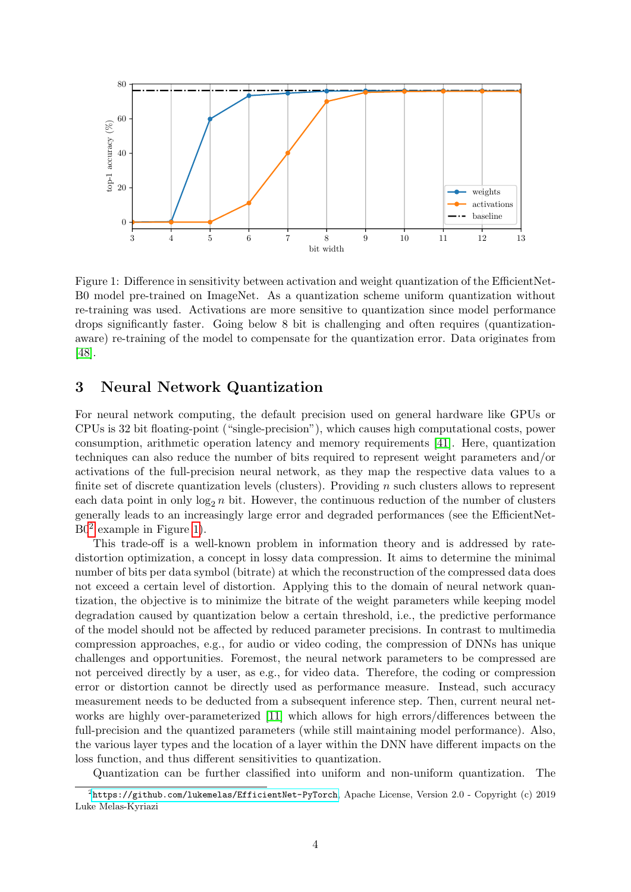

<span id="page-3-1"></span>Figure 1: Difference in sensitivity between activation and weight quantization of the EfficientNet-B0 model pre-trained on ImageNet. As a quantization scheme uniform quantization without re-training was used. Activations are more sensitive to quantization since model performance drops significantly faster. Going below 8 bit is challenging and often requires (quantizationaware) re-training of the model to compensate for the quantization error. Data originates from [\[48\]](#page-20-4).

## <span id="page-3-0"></span>3 Neural Network Quantization

For neural network computing, the default precision used on general hardware like GPUs or CPUs is 32 bit floating-point ("single-precision"), which causes high computational costs, power consumption, arithmetic operation latency and memory requirements [\[41\]](#page-19-4). Here, quantization techniques can also reduce the number of bits required to represent weight parameters and/or activations of the full-precision neural network, as they map the respective data values to a finite set of discrete quantization levels (clusters). Providing  $n$  such clusters allows to represent each data point in only  $\log_2 n$  bit. However, the continuous reduction of the number of clusters generally leads to an increasingly large error and degraded performances (see the EfficientNet- $B0<sup>2</sup>$  $B0<sup>2</sup>$  $B0<sup>2</sup>$  example in Figure [1\)](#page-3-1).

This trade-off is a well-known problem in information theory and is addressed by ratedistortion optimization, a concept in lossy data compression. It aims to determine the minimal number of bits per data symbol (bitrate) at which the reconstruction of the compressed data does not exceed a certain level of distortion. Applying this to the domain of neural network quantization, the objective is to minimize the bitrate of the weight parameters while keeping model degradation caused by quantization below a certain threshold, i.e., the predictive performance of the model should not be affected by reduced parameter precisions. In contrast to multimedia compression approaches, e.g., for audio or video coding, the compression of DNNs has unique challenges and opportunities. Foremost, the neural network parameters to be compressed are not perceived directly by a user, as e.g., for video data. Therefore, the coding or compression error or distortion cannot be directly used as performance measure. Instead, such accuracy measurement needs to be deducted from a subsequent inference step. Then, current neural networks are highly over-parameterized [\[11\]](#page-17-7) which allows for high errors/differences between the full-precision and the quantized parameters (while still maintaining model performance). Also, the various layer types and the location of a layer within the DNN have different impacts on the loss function, and thus different sensitivities to quantization.

<span id="page-3-2"></span>Quantization can be further classified into uniform and non-uniform quantization. The

 $^{2}$ <https://github.com/lukemelas/EfficientNet-PyTorch>, Apache License, Version 2.0 - Copyright (c) 2019 Luke Melas-Kyriazi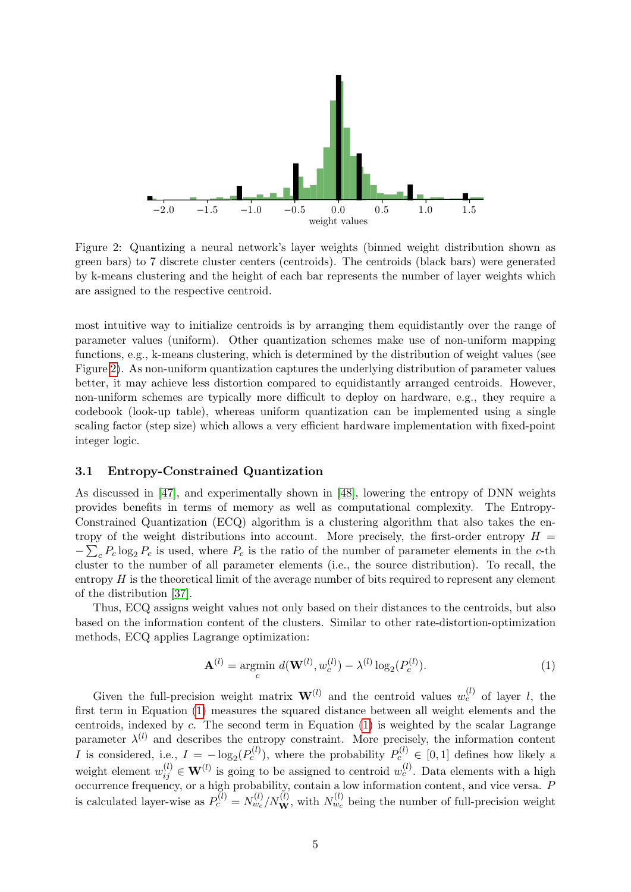

<span id="page-4-0"></span>Figure 2: Quantizing a neural network's layer weights (binned weight distribution shown as green bars) to 7 discrete cluster centers (centroids). The centroids (black bars) were generated by k-means clustering and the height of each bar represents the number of layer weights which are assigned to the respective centroid.

most intuitive way to initialize centroids is by arranging them equidistantly over the range of parameter values (uniform). Other quantization schemes make use of non-uniform mapping functions, e.g., k-means clustering, which is determined by the distribution of weight values (see Figure [2\)](#page-4-0). As non-uniform quantization captures the underlying distribution of parameter values better, it may achieve less distortion compared to equidistantly arranged centroids. However, non-uniform schemes are typically more difficult to deploy on hardware, e.g., they require a codebook (look-up table), whereas uniform quantization can be implemented using a single scaling factor (step size) which allows a very efficient hardware implementation with fixed-point integer logic.

#### 3.1 Entropy-Constrained Quantization

As discussed in [\[47\]](#page-20-3), and experimentally shown in [\[48\]](#page-20-4), lowering the entropy of DNN weights provides benefits in terms of memory as well as computational complexity. The Entropy-Constrained Quantization (ECQ) algorithm is a clustering algorithm that also takes the entropy of the weight distributions into account. More precisely, the first-order entropy  $H =$  $-\sum_{c} P_c \log_2 P_c$  is used, where  $P_c$  is the ratio of the number of parameter elements in the c-th cluster to the number of all parameter elements (i.e., the source distribution). To recall, the entropy  $H$  is the theoretical limit of the average number of bits required to represent any element of the distribution [\[37\]](#page-19-9).

Thus, ECQ assigns weight values not only based on their distances to the centroids, but also based on the information content of the clusters. Similar to other rate-distortion-optimization methods, ECQ applies Lagrange optimization:

<span id="page-4-1"></span>
$$
\mathbf{A}^{(l)} = \underset{c}{\text{argmin}} \ d(\mathbf{W}^{(l)}, w_c^{(l)}) - \lambda^{(l)} \log_2(P_c^{(l)}). \tag{1}
$$

Given the full-precision weight matrix  $\mathbf{W}^{(l)}$  and the centroid values  $w_c^{(l)}$  of layer l, the first term in Equation [\(1\)](#page-4-1) measures the squared distance between all weight elements and the centroids, indexed by c. The second term in Equation  $(1)$  is weighted by the scalar Lagrange parameter  $\lambda^{(l)}$  and describes the entropy constraint. More precisely, the information content I is considered, i.e.,  $I = -\log_2(P_c^{(l)})$ , where the probability  $P_c^{(l)} \in [0,1]$  defines how likely a weight element  $w_{ij}^{(l)} \in \mathbf{W}^{(l)}$  is going to be assigned to centroid  $w_c^{(l)}$ . Data elements with a high occurrence frequency, or a high probability, contain a low information content, and vice versa. P is calculated layer-wise as  $P_c^{(l)} = N_{w_c}^{(l)}/N_{\bf W}^{(l)}$ , with  $N_{w_c}^{(l)}$  being the number of full-precision weight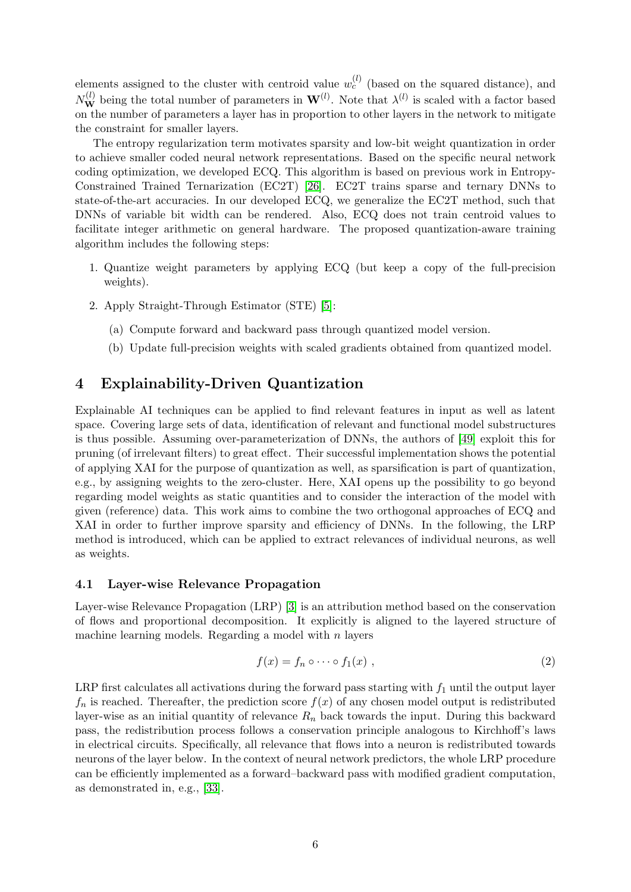elements assigned to the cluster with centroid value  $w_c^{(l)}$  (based on the squared distance), and  $N_{\bf W}^{(l)}$  being the total number of parameters in  ${\bf W}^{(l)}$ . Note that  $\lambda^{(l)}$  is scaled with a factor based on the number of parameters a layer has in proportion to other layers in the network to mitigate the constraint for smaller layers.

The entropy regularization term motivates sparsity and low-bit weight quantization in order to achieve smaller coded neural network representations. Based on the specific neural network coding optimization, we developed ECQ. This algorithm is based on previous work in Entropy-Constrained Trained Ternarization (EC2T) [\[26\]](#page-18-2). EC2T trains sparse and ternary DNNs to state-of-the-art accuracies. In our developed ECQ, we generalize the EC2T method, such that DNNs of variable bit width can be rendered. Also, ECQ does not train centroid values to facilitate integer arithmetic on general hardware. The proposed quantization-aware training algorithm includes the following steps:

- 1. Quantize weight parameters by applying ECQ (but keep a copy of the full-precision weights).
- 2. Apply Straight-Through Estimator (STE) [\[5\]](#page-17-8):
	- (a) Compute forward and backward pass through quantized model version.
	- (b) Update full-precision weights with scaled gradients obtained from quantized model.

# <span id="page-5-0"></span>4 Explainability-Driven Quantization

Explainable AI techniques can be applied to find relevant features in input as well as latent space. Covering large sets of data, identification of relevant and functional model substructures is thus possible. Assuming over-parameterization of DNNs, the authors of [\[49\]](#page-20-2) exploit this for pruning (of irrelevant filters) to great effect. Their successful implementation shows the potential of applying XAI for the purpose of quantization as well, as sparsification is part of quantization, e.g., by assigning weights to the zero-cluster. Here, XAI opens up the possibility to go beyond regarding model weights as static quantities and to consider the interaction of the model with given (reference) data. This work aims to combine the two orthogonal approaches of ECQ and XAI in order to further improve sparsity and efficiency of DNNs. In the following, the LRP method is introduced, which can be applied to extract relevances of individual neurons, as well as weights.

#### <span id="page-5-1"></span>4.1 Layer-wise Relevance Propagation

Layer-wise Relevance Propagation (LRP) [\[3\]](#page-17-9) is an attribution method based on the conservation of flows and proportional decomposition. It explicitly is aligned to the layered structure of machine learning models. Regarding a model with  $n$  layers

$$
f(x) = f_n \circ \cdots \circ f_1(x) , \qquad (2)
$$

LRP first calculates all activations during the forward pass starting with  $f_1$  until the output layer  $f_n$  is reached. Thereafter, the prediction score  $f(x)$  of any chosen model output is redistributed layer-wise as an initial quantity of relevance  $R_n$  back towards the input. During this backward pass, the redistribution process follows a conservation principle analogous to Kirchhoff's laws in electrical circuits. Specifically, all relevance that flows into a neuron is redistributed towards neurons of the layer below. In the context of neural network predictors, the whole LRP procedure can be efficiently implemented as a forward–backward pass with modified gradient computation, as demonstrated in, e.g., [\[33\]](#page-19-10).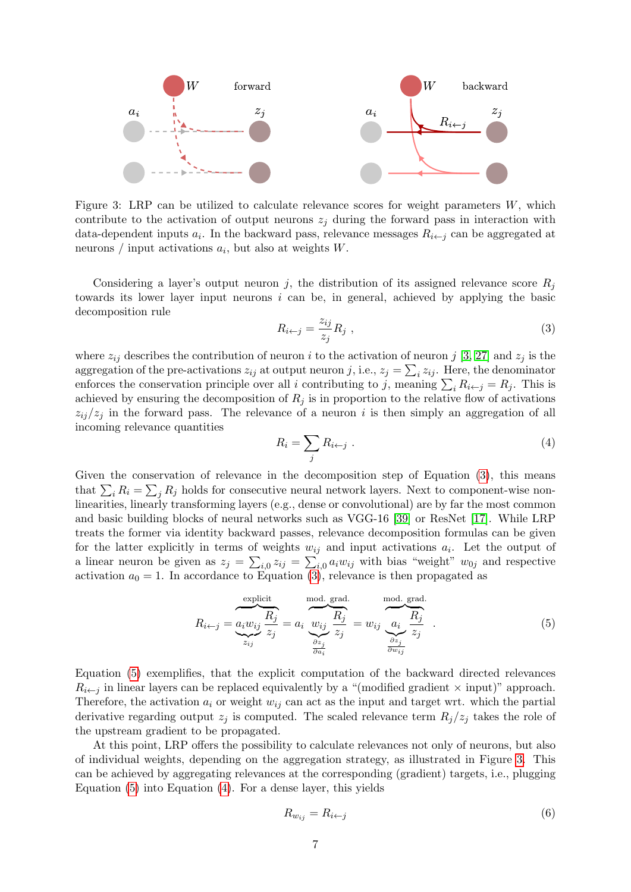

<span id="page-6-2"></span>Figure 3: LRP can be utilized to calculate relevance scores for weight parameters W, which contribute to the activation of output neurons  $z_j$  during the forward pass in interaction with data-dependent inputs  $a_i$ . In the backward pass, relevance messages  $R_{i \leftarrow j}$  can be aggregated at neurons / input activations  $a_i$ , but also at weights W.

Considering a layer's output neuron j, the distribution of its assigned relevance score  $R_i$ towards its lower layer input neurons i can be, in general, achieved by applying the basic decomposition rule

<span id="page-6-0"></span>
$$
R_{i \leftarrow j} = \frac{z_{ij}}{z_j} R_j \tag{3}
$$

where  $z_{ij}$  describes the contribution of neuron i to the activation of neuron j [\[3,](#page-17-9) [27\]](#page-18-9) and  $z_j$  is the aggregation of the pre-activations  $z_{ij}$  at output neuron j, i.e.,  $z_j = \sum_i z_{ij}$ . Here, the denominator enforces the conservation principle over all i contributing to j, meaning  $\sum_i R_{i \leftarrow j} = R_j$ . This is achieved by ensuring the decomposition of  $R_j$  is in proportion to the relative flow of activations  $z_{ij}/z_j$  in the forward pass. The relevance of a neuron i is then simply an aggregation of all incoming relevance quantities

<span id="page-6-3"></span>
$$
R_i = \sum_j R_{i \leftarrow j} \tag{4}
$$

Given the conservation of relevance in the decomposition step of Equation [\(3\)](#page-6-0), this means that  $\sum_i R_i = \sum_j R_j$  holds for consecutive neural network layers. Next to component-wise nonlinearities, linearly transforming layers (e.g., dense or convolutional) are by far the most common and basic building blocks of neural networks such as VGG-16 [\[39\]](#page-19-2) or ResNet [\[17\]](#page-18-0). While LRP treats the former via identity backward passes, relevance decomposition formulas can be given for the latter explicitly in terms of weights  $w_{ij}$  and input activations  $a_i$ . Let the output of a linear neuron be given as  $z_j = \sum_{i,0} z_{ij} = \sum_{i,0} a_i w_{ij}$  with bias "weight"  $w_{0j}$  and respective activation  $a_0 = 1$ . In accordance to Equation [\(3\)](#page-6-0), relevance is then propagated as

<span id="page-6-1"></span>
$$
R_{i \leftarrow j} = \underbrace{\underbrace{a_i w_{ij}}_{z_{ij}} \underbrace{R_j}_{z_j}}_{z_{ij}} = a_i \underbrace{\underbrace{w_{ij}}_{w_{ij}} \underbrace{R_j}_{z_j}}_{\underbrace{\underbrace{a_i}}_{\underbrace{a_i}} \underbrace{R_j}_{\underbrace{z_j}_{\underbrace{z_j}}}_{\underbrace{z_j}_{\underbrace{b z_j}_{\underbrace{b z_j}_{\underbrace{b z_j}_{\underbrace{b z_j}_{\underbrace{b z_j}_{\underbrace{b z_j}_{\underbrace{b z_j}_{\underbrace{c z_j}_{\underbrace{c z_j}_{\underbrace{c z_j}_{\underbrace{c z_j}_{\underbrace{c z_j}_{\underbrace{c z_j}_{\underbrace{c z_j}_{\underbrace{c z_j}_{\underbrace{c z_j}_{\underbrace{c z_j}_{\underbrace{c z_j}_{\underbrace{c z_j}_{\underbrace{c z_j}_{\underbrace{c z_j}_{\underbrace{c z_j}_{\underbrace{c z_j}_{\underbrace{c z_j}_{\underbrace{c z_j}_{\underbrace{c z_j}_{\underbrace{c z_j}_{\underbrace{c z_j}_{\underbrace{c z_j}_{\underbrace{c z_j}_{\underbrace{c z_j}_{\underbrace{c z_j}_{\underbrace{c z_j}_{\underbrace{c z_j}_{\underbrace{c z_j}_{\underbrace{c z_j}_{\underbrace{c z_j}_{\underbrace{c z_j}_{\underbrace{c z_j}_{\underbrace{c z_j}_{\underbrace{c z_j}_{\underbrace{c z_j}_{\underbrace{c z_j}_{\underbrace{c z_j}_{\underbrace{c z_j}_{\underbrace{c z_j}_{\underbrace{c z_j}_{\underbrace{c z_j}_{\underbrace{c z_j}_{\underbrace{c z_j}_{\underbrace{c z_j}_{\underbrace{c z_j}_{\underbrace{c z_j}_{\underbrace{c z_j}_{\underbrace{c z_j}_{\underbrace{c z_j}_{\underbrace{c z_j}_{\underbrace{c z_j}_{\underbrace{c z_j}_{\underbrace{c z_j}_{\underbrace{c z_j}_{\underbrace{c z_j}_{\underbrace{c z_j}_{\underbrace{c z_j}_{\underbrace{c z_j}_{\underbrace{c z_j}_{\underbrace{c z_j}_{\underbrace{c z_j}_{\underbrace{c z_j}_{\underbrace{c z_j}_{\underbrace{c z_j}_{\underbrace{c z_j}_{\underbrace{c z_j}_{\underbrace{c z_j}_{\underbrace{c z_j}_{\underbrace{c z_j}_{\underbrace{c z_j}_{\underbrace{c z_j}_{\underbrace{c z_j}_{\underbrace{c z_j}_{
$$

Equation [\(5\)](#page-6-1) exemplifies, that the explicit computation of the backward directed relevances  $R_{i\leftarrow j}$  in linear layers can be replaced equivalently by a "(modified gradient  $\times$  input)" approach. Therefore, the activation  $a_i$  or weight  $w_{ij}$  can act as the input and target wrt. which the partial derivative regarding output  $z_j$  is computed. The scaled relevance term  $R_j/z_j$  takes the role of the upstream gradient to be propagated.

At this point, LRP offers the possibility to calculate relevances not only of neurons, but also of individual weights, depending on the aggregation strategy, as illustrated in Figure [3.](#page-6-2) This can be achieved by aggregating relevances at the corresponding (gradient) targets, i.e., plugging Equation [\(5\)](#page-6-1) into Equation [\(4\)](#page-6-3). For a dense layer, this yields

$$
R_{w_{ij}} = R_{i \leftarrow j} \tag{6}
$$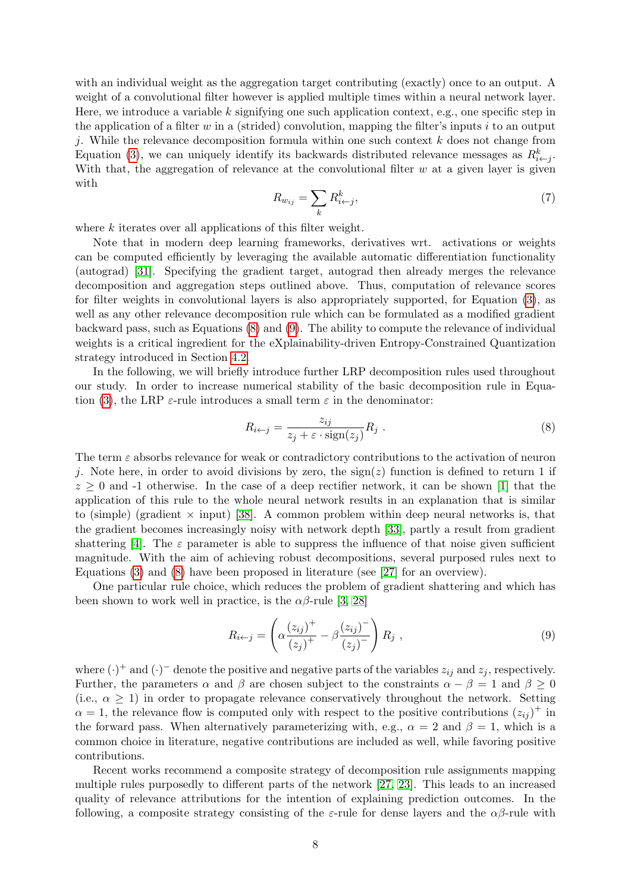with an individual weight as the aggregation target contributing (exactly) once to an output. A weight of a convolutional filter however is applied multiple times within a neural network layer. Here, we introduce a variable  $k$  signifying one such application context, e.g., one specific step in the application of a filter w in a (strided) convolution, mapping the filter's inputs  $i$  to an output j. While the relevance decomposition formula within one such context  $k$  does not change from Equation [\(3\)](#page-6-0), we can uniquely identify its backwards distributed relevance messages as  $R_{i \leftarrow j}^k$ . With that, the aggregation of relevance at the convolutional filter  $w$  at a given layer is given with

<span id="page-7-2"></span>
$$
R_{w_{ij}} = \sum_{k} R_{i \leftarrow j}^{k},\tag{7}
$$

where k iterates over all applications of this filter weight.

Note that in modern deep learning frameworks, derivatives wrt. activations or weights can be computed efficiently by leveraging the available automatic differentiation functionality (autograd) [\[31\]](#page-19-11). Specifying the gradient target, autograd then already merges the relevance decomposition and aggregation steps outlined above. Thus, computation of relevance scores for filter weights in convolutional layers is also appropriately supported, for Equation [\(3\)](#page-6-0), as well as any other relevance decomposition rule which can be formulated as a modified gradient backward pass, such as Equations [\(8\)](#page-7-0) and [\(9\)](#page-7-1). The ability to compute the relevance of individual weights is a critical ingredient for the eXplainability-driven Entropy-Constrained Quantization strategy introduced in Section [4.2.](#page-8-0)

In the following, we will briefly introduce further LRP decomposition rules used throughout our study. In order to increase numerical stability of the basic decomposition rule in Equa-tion [\(3\)](#page-6-0), the LRP  $\varepsilon$ -rule introduces a small term  $\varepsilon$  in the denominator:

<span id="page-7-0"></span>
$$
R_{i \leftarrow j} = \frac{z_{ij}}{z_j + \varepsilon \cdot \text{sign}(z_j)} R_j \tag{8}
$$

The term  $\varepsilon$  absorbs relevance for weak or contradictory contributions to the activation of neuron j. Note here, in order to avoid divisions by zero, the  $sign(z)$  function is defined to return 1 if  $z \geq 0$  and -1 otherwise. In the case of a deep rectifier network, it can be shown [\[1\]](#page-17-10) that the application of this rule to the whole neural network results in an explanation that is similar to (simple) (gradient  $\times$  input) [\[38\]](#page-19-12). A common problem within deep neural networks is, that the gradient becomes increasingly noisy with network depth [\[33\]](#page-19-10), partly a result from gradient shattering [\[4\]](#page-17-11). The  $\varepsilon$  parameter is able to suppress the influence of that noise given sufficient magnitude. With the aim of achieving robust decompositions, several purposed rules next to Equations [\(3\)](#page-6-0) and [\(8\)](#page-7-0) have been proposed in literature (see [\[27\]](#page-18-9) for an overview).

One particular rule choice, which reduces the problem of gradient shattering and which has been shown to work well in practice, is the  $\alpha\beta$ -rule [\[3,](#page-17-9) [28\]](#page-18-10)

<span id="page-7-1"></span>
$$
R_{i \leftarrow j} = \left(\alpha \frac{(z_{ij})^+}{(z_j)^+} - \beta \frac{(z_{ij})^-}{(z_j)^-}\right) R_j ,
$$
\n(9)

where  $(\cdot)^+$  and  $(\cdot)^-$  denote the positive and negative parts of the variables  $z_{ij}$  and  $z_j$ , respectively. Further, the parameters  $\alpha$  and  $\beta$  are chosen subject to the constraints  $\alpha - \beta = 1$  and  $\beta \ge 0$ (i.e.,  $\alpha \geq 1$ ) in order to propagate relevance conservatively throughout the network. Setting  $\alpha = 1$ , the relevance flow is computed only with respect to the positive contributions  $(z_{ij})^+$  in the forward pass. When alternatively parameterizing with, e.g.,  $\alpha = 2$  and  $\beta = 1$ , which is a common choice in literature, negative contributions are included as well, while favoring positive contributions.

Recent works recommend a composite strategy of decomposition rule assignments mapping multiple rules purposedly to different parts of the network [\[27,](#page-18-9) [23\]](#page-18-11). This leads to an increased quality of relevance attributions for the intention of explaining prediction outcomes. In the following, a composite strategy consisting of the  $\varepsilon$ -rule for dense layers and the  $\alpha\beta$ -rule with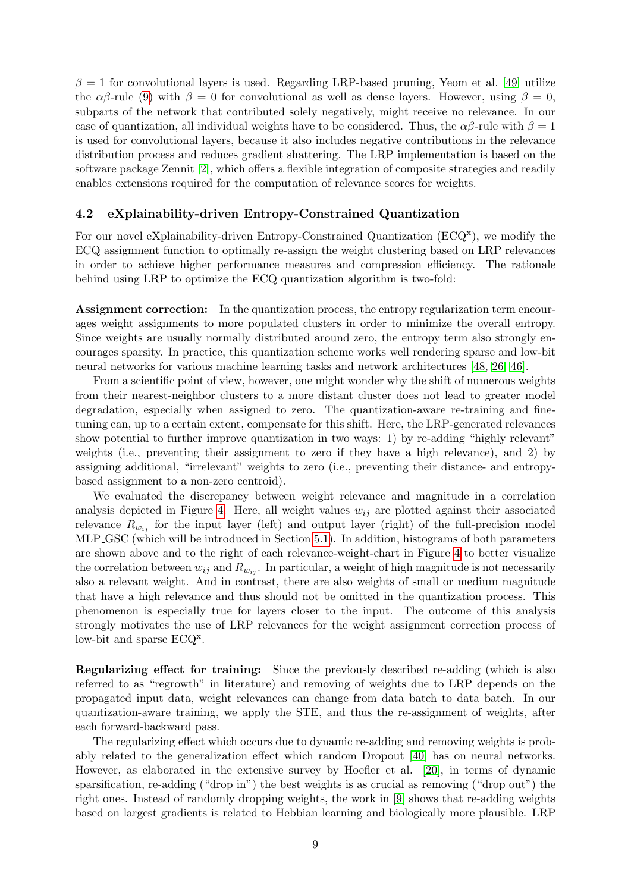$\beta = 1$  for convolutional layers is used. Regarding LRP-based pruning, Yeom et al. [\[49\]](#page-20-2) utilize the  $\alpha\beta$ -rule [\(9\)](#page-7-1) with  $\beta = 0$  for convolutional as well as dense layers. However, using  $\beta = 0$ , subparts of the network that contributed solely negatively, might receive no relevance. In our case of quantization, all individual weights have to be considered. Thus, the  $\alpha\beta$ -rule with  $\beta = 1$ is used for convolutional layers, because it also includes negative contributions in the relevance distribution process and reduces gradient shattering. The LRP implementation is based on the software package Zennit [\[2\]](#page-17-12), which offers a flexible integration of composite strategies and readily enables extensions required for the computation of relevance scores for weights.

#### <span id="page-8-0"></span>4.2 eXplainability-driven Entropy-Constrained Quantization

For our novel eXplainability-driven Entropy-Constrained Quantization (ECQ<sup>x</sup>), we modify the ECQ assignment function to optimally re-assign the weight clustering based on LRP relevances in order to achieve higher performance measures and compression efficiency. The rationale behind using LRP to optimize the ECQ quantization algorithm is two-fold:

Assignment correction: In the quantization process, the entropy regularization term encourages weight assignments to more populated clusters in order to minimize the overall entropy. Since weights are usually normally distributed around zero, the entropy term also strongly encourages sparsity. In practice, this quantization scheme works well rendering sparse and low-bit neural networks for various machine learning tasks and network architectures [\[48,](#page-20-4) [26,](#page-18-2) [46\]](#page-19-13).

From a scientific point of view, however, one might wonder why the shift of numerous weights from their nearest-neighbor clusters to a more distant cluster does not lead to greater model degradation, especially when assigned to zero. The quantization-aware re-training and finetuning can, up to a certain extent, compensate for this shift. Here, the LRP-generated relevances show potential to further improve quantization in two ways: 1) by re-adding "highly relevant" weights (i.e., preventing their assignment to zero if they have a high relevance), and 2) by assigning additional, "irrelevant" weights to zero (i.e., preventing their distance- and entropybased assignment to a non-zero centroid).

We evaluated the discrepancy between weight relevance and magnitude in a correlation analysis depicted in Figure [4.](#page-9-0) Here, all weight values  $w_{ij}$  are plotted against their associated relevance  $R_{w_{ij}}$  for the input layer (left) and output layer (right) of the full-precision model MLP GSC (which will be introduced in Section [5.1\)](#page-11-1). In addition, histograms of both parameters are shown above and to the right of each relevance-weight-chart in Figure [4](#page-9-0) to better visualize the correlation between  $w_{ij}$  and  $R_{w_{ij}}$ . In particular, a weight of high magnitude is not necessarily also a relevant weight. And in contrast, there are also weights of small or medium magnitude that have a high relevance and thus should not be omitted in the quantization process. This phenomenon is especially true for layers closer to the input. The outcome of this analysis strongly motivates the use of LRP relevances for the weight assignment correction process of low-bit and sparse ECQ<sup>x</sup>.

Regularizing effect for training: Since the previously described re-adding (which is also referred to as "regrowth" in literature) and removing of weights due to LRP depends on the propagated input data, weight relevances can change from data batch to data batch. In our quantization-aware training, we apply the STE, and thus the re-assignment of weights, after each forward-backward pass.

The regularizing effect which occurs due to dynamic re-adding and removing weights is probably related to the generalization effect which random Dropout [\[40\]](#page-19-14) has on neural networks. However, as elaborated in the extensive survey by Hoefler et al. [\[20\]](#page-18-1), in terms of dynamic sparsification, re-adding ("drop in") the best weights is as crucial as removing ("drop out") the right ones. Instead of randomly dropping weights, the work in [\[9\]](#page-17-13) shows that re-adding weights based on largest gradients is related to Hebbian learning and biologically more plausible. LRP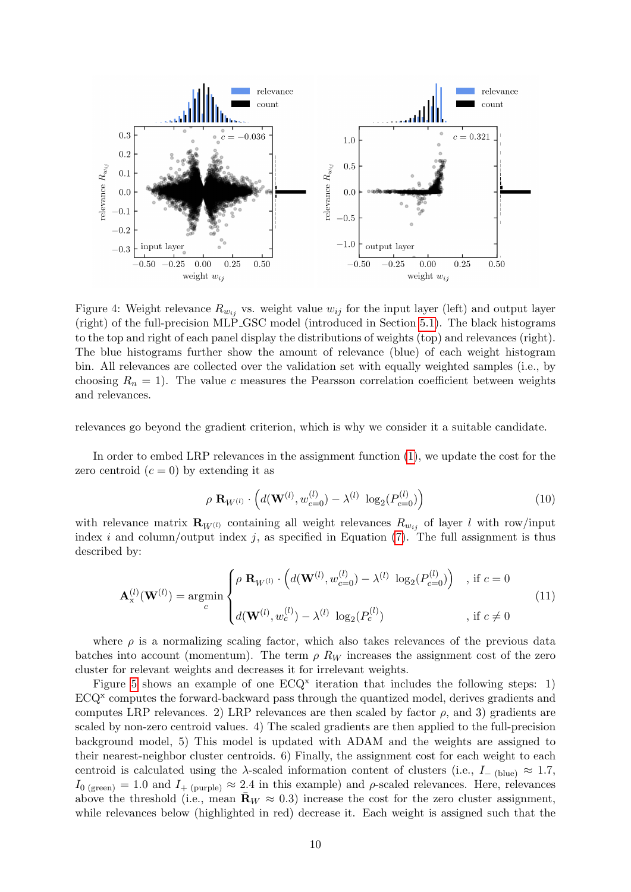

<span id="page-9-0"></span>Figure 4: Weight relevance  $R_{w_{ij}}$  vs. weight value  $w_{ij}$  for the input layer (left) and output layer (right) of the full-precision MLP GSC model (introduced in Section [5.1\)](#page-11-1). The black histograms to the top and right of each panel display the distributions of weights (top) and relevances (right). The blue histograms further show the amount of relevance (blue) of each weight histogram bin. All relevances are collected over the validation set with equally weighted samples (i.e., by choosing  $R_n = 1$ ). The value c measures the Pearsson correlation coefficient between weights and relevances.

relevances go beyond the gradient criterion, which is why we consider it a suitable candidate.

In order to embed LRP relevances in the assignment function [\(1\)](#page-4-1), we update the cost for the zero centroid  $(c = 0)$  by extending it as

$$
\rho \, \mathbf{R}_{W^{(l)}} \cdot \left( d(\mathbf{W}^{(l)}, w_{c=0}^{(l)}) - \lambda^{(l)} \, \log_2(P_{c=0}^{(l)}) \right) \tag{10}
$$

with relevance matrix  $\mathbf{R}_{W^{(l)}}$  containing all weight relevances  $R_{w_{ij}}$  of layer l with row/input index i and column/output index j, as specified in Equation  $(7)$ . The full assignment is thus described by:

<span id="page-9-1"></span>
$$
\mathbf{A}_{\mathbf{x}}^{(l)}(\mathbf{W}^{(l)}) = \operatorname{argmin}_{c} \begin{cases} \rho \ \mathbf{R}_{W^{(l)}} \cdot \left( d(\mathbf{W}^{(l)}, w_{c=0}^{(l)}) - \lambda^{(l)} \ \log_2(P_{c=0}^{(l)}) \right) & , \text{if } c = 0 \\ d(\mathbf{W}^{(l)}, w_c^{(l)}) - \lambda^{(l)} \ \log_2(P_c^{(l)}) & , \text{if } c \neq 0 \end{cases}
$$
(11)

where  $\rho$  is a normalizing scaling factor, which also takes relevances of the previous data batches into account (momentum). The term  $\rho R_W$  increases the assignment cost of the zero cluster for relevant weights and decreases it for irrelevant weights.

Figure [5](#page-10-0) shows an example of one  $ECQ^x$  iteration that includes the following steps: 1) ECQ<sup>x</sup> computes the forward-backward pass through the quantized model, derives gradients and computes LRP relevances. 2) LRP relevances are then scaled by factor  $\rho$ , and 3) gradients are scaled by non-zero centroid values. 4) The scaled gradients are then applied to the full-precision background model, 5) This model is updated with ADAM and the weights are assigned to their nearest-neighbor cluster centroids. 6) Finally, the assignment cost for each weight to each centroid is calculated using the  $\lambda$ -scaled information content of clusters (i.e.,  $I_{-\text{(blue)}} \approx 1.7$ ,  $I_{0 \text{ (green)}} = 1.0 \text{ and } I_{+ \text{ (purple)}} \approx 2.4 \text{ in this example}$  and  $\rho$ -scaled relevances. Here, relevances above the threshold (i.e., mean  $\mathbf{R}_W \approx 0.3$ ) increase the cost for the zero cluster assignment, while relevances below (highlighted in red) decrease it. Each weight is assigned such that the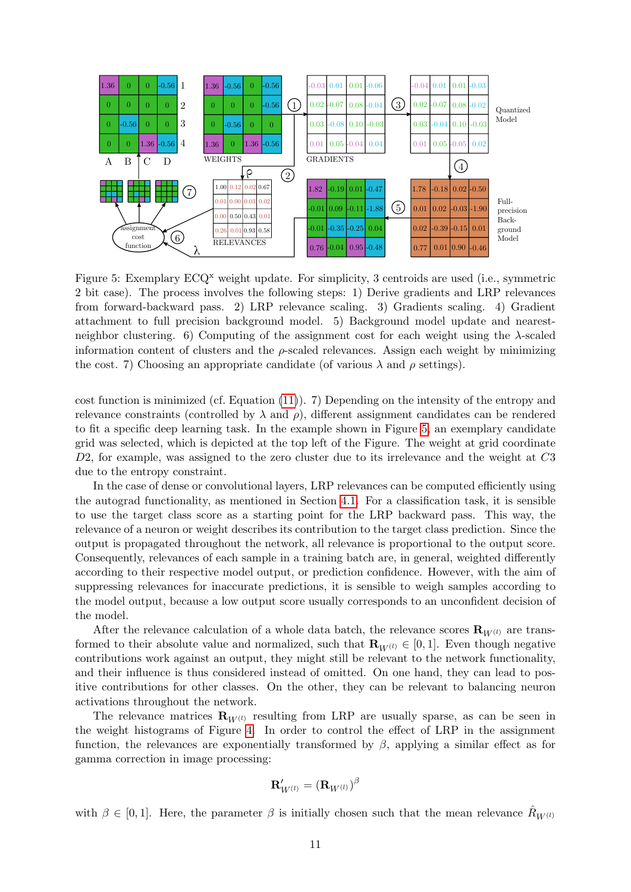

<span id="page-10-0"></span>Figure 5: Exemplary  $ECQ^x$  weight update. For simplicity, 3 centroids are used (i.e., symmetric 2 bit case). The process involves the following steps: 1) Derive gradients and LRP relevances from forward-backward pass. 2) LRP relevance scaling. 3) Gradients scaling. 4) Gradient attachment to full precision background model. 5) Background model update and nearestneighbor clustering. 6) Computing of the assignment cost for each weight using the  $\lambda$ -scaled information content of clusters and the  $\rho$ -scaled relevances. Assign each weight by minimizing the cost. 7) Choosing an appropriate candidate (of various  $\lambda$  and  $\rho$  settings).

cost function is minimized (cf. Equation  $(11)$ ). 7) Depending on the intensity of the entropy and relevance constraints (controlled by  $\lambda$  and  $\rho$ ), different assignment candidates can be rendered to fit a specific deep learning task. In the example shown in Figure [5,](#page-10-0) an exemplary candidate grid was selected, which is depicted at the top left of the Figure. The weight at grid coordinate  $D2$ , for example, was assigned to the zero cluster due to its irrelevance and the weight at  $C3$ due to the entropy constraint.

In the case of dense or convolutional layers, LRP relevances can be computed efficiently using the autograd functionality, as mentioned in Section [4.1.](#page-5-1) For a classification task, it is sensible to use the target class score as a starting point for the LRP backward pass. This way, the relevance of a neuron or weight describes its contribution to the target class prediction. Since the output is propagated throughout the network, all relevance is proportional to the output score. Consequently, relevances of each sample in a training batch are, in general, weighted differently according to their respective model output, or prediction confidence. However, with the aim of suppressing relevances for inaccurate predictions, it is sensible to weigh samples according to the model output, because a low output score usually corresponds to an unconfident decision of the model.

After the relevance calculation of a whole data batch, the relevance scores  $\mathbf{R}_{W^{(l)}}$  are transformed to their absolute value and normalized, such that  $\mathbf{R}_{W^{(l)}} \in [0,1]$ . Even though negative contributions work against an output, they might still be relevant to the network functionality, and their influence is thus considered instead of omitted. On one hand, they can lead to positive contributions for other classes. On the other, they can be relevant to balancing neuron activations throughout the network.

The relevance matrices  $\mathbf{R}_{W^{(l)}}$  resulting from LRP are usually sparse, as can be seen in the weight histograms of Figure [4.](#page-9-0) In order to control the effect of LRP in the assignment function, the relevances are exponentially transformed by  $\beta$ , applying a similar effect as for gamma correction in image processing:

$$
\mathbf{R}_{W^{(l)}}'=(\mathbf{R}_{W^{(l)}})^\beta
$$

with  $\beta \in [0, 1]$ . Here, the parameter  $\beta$  is initially chosen such that the mean relevance  $\hat{R}_{W^{(l)}}$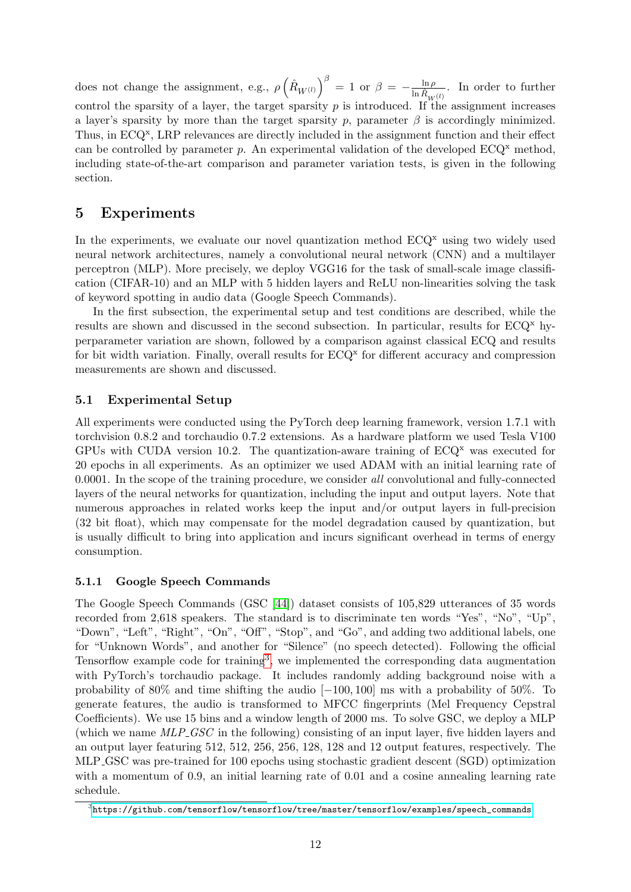does not change the assignment, e.g.,  $\rho \left( \hat{R}_{W^{(l)}} \right)^{\beta} = 1$  or  $\beta = -\frac{\ln \beta}{\ln \hat{R}}$  $\frac{\ln \rho}{\ln \hat{R}_{W^{(l)}}}$ . In order to further control the sparsity of a layer, the target sparsity  $p$  is introduced. If the assignment increases a layer's sparsity by more than the target sparsity p, parameter  $\beta$  is accordingly minimized. Thus, in ECQ<sup>x</sup>, LRP relevances are directly included in the assignment function and their effect can be controlled by parameter  $p$ . An experimental validation of the developed ECQ<sup>x</sup> method, including state-of-the-art comparison and parameter variation tests, is given in the following section.

# <span id="page-11-0"></span>5 Experiments

In the experiments, we evaluate our novel quantization method  $ECQ^x$  using two widely used neural network architectures, namely a convolutional neural network (CNN) and a multilayer perceptron (MLP). More precisely, we deploy VGG16 for the task of small-scale image classification (CIFAR-10) and an MLP with 5 hidden layers and ReLU non-linearities solving the task of keyword spotting in audio data (Google Speech Commands).

In the first subsection, the experimental setup and test conditions are described, while the results are shown and discussed in the second subsection. In particular, results for  $ECQ^x$  hyperparameter variation are shown, followed by a comparison against classical ECQ and results for bit width variation. Finally, overall results for ECQ<sup>x</sup> for different accuracy and compression measurements are shown and discussed.

#### <span id="page-11-1"></span>5.1 Experimental Setup

All experiments were conducted using the PyTorch deep learning framework, version 1.7.1 with torchvision 0.8.2 and torchaudio 0.7.2 extensions. As a hardware platform we used Tesla V100 GPUs with CUDA version 10.2. The quantization-aware training of  $ECQ^x$  was executed for 20 epochs in all experiments. As an optimizer we used ADAM with an initial learning rate of 0.0001. In the scope of the training procedure, we consider all convolutional and fully-connected layers of the neural networks for quantization, including the input and output layers. Note that numerous approaches in related works keep the input and/or output layers in full-precision (32 bit float), which may compensate for the model degradation caused by quantization, but is usually difficult to bring into application and incurs significant overhead in terms of energy consumption.

#### 5.1.1 Google Speech Commands

The Google Speech Commands (GSC [\[44\]](#page-19-15)) dataset consists of 105,829 utterances of 35 words recorded from 2,618 speakers. The standard is to discriminate ten words "Yes", "No", "Up", "Down", "Left", "Right", "On", "Off", "Stop", and "Go", and adding two additional labels, one for "Unknown Words", and another for "Silence" (no speech detected). Following the official Tensorflow example code for training<sup>[3](#page-11-2)</sup>, we implemented the corresponding data augmentation with PyTorch's torchaudio package. It includes randomly adding background noise with a probability of 80% and time shifting the audio [−100, 100] ms with a probability of 50%. To generate features, the audio is transformed to MFCC fingerprints (Mel Frequency Cepstral Coefficients). We use 15 bins and a window length of 2000 ms. To solve GSC, we deploy a MLP (which we name  $MLP$ - $GSC$  in the following) consisting of an input layer, five hidden layers and an output layer featuring 512, 512, 256, 256, 128, 128 and 12 output features, respectively. The MLP GSC was pre-trained for 100 epochs using stochastic gradient descent (SGD) optimization with a momentum of 0.9, an initial learning rate of 0.01 and a cosine annealing learning rate schedule.

<span id="page-11-2"></span> $^3$ [https://github.com/tensorflow/tensorflow/tree/master/tensorflow/examples/speech\\_commands](https://github.com/tensorflow/tensorflow/tree/master/tensorflow/examples/speech_commands)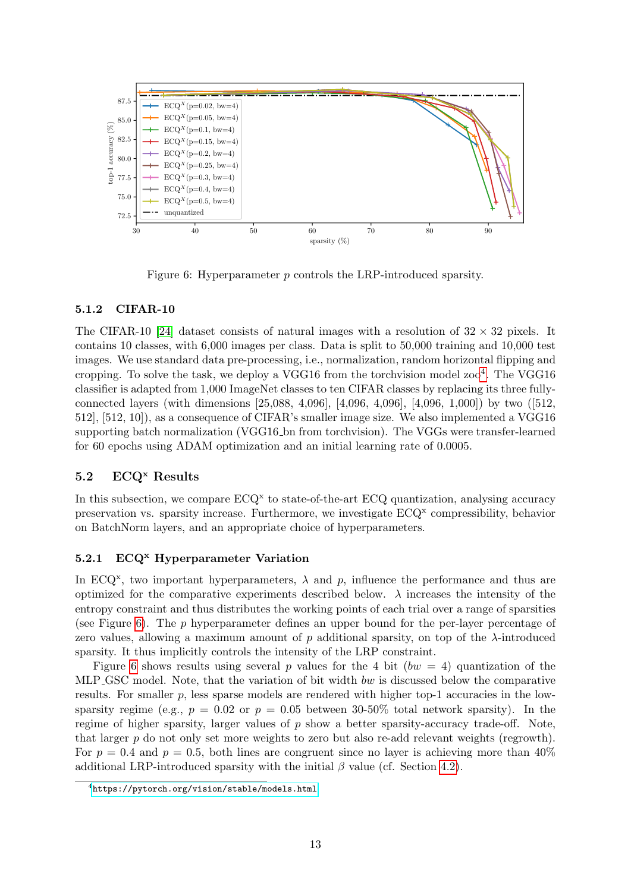

<span id="page-12-1"></span>Figure 6: Hyperparameter p controls the LRP-introduced sparsity.

#### 5.1.2 CIFAR-10

The CIFAR-10 [\[24\]](#page-18-12) dataset consists of natural images with a resolution of  $32 \times 32$  pixels. It contains 10 classes, with 6,000 images per class. Data is split to 50,000 training and 10,000 test images. We use standard data pre-processing, i.e., normalization, random horizontal flipping and cropping. To solve the task, we deploy a VGG16 from the torchvision model zoo<sup>[4](#page-12-0)</sup>. The VGG16 classifier is adapted from 1,000 ImageNet classes to ten CIFAR classes by replacing its three fullyconnected layers (with dimensions [25,088, 4,096], [4,096, 4,096], [4,096, 1,000]) by two ([512, 512], [512, 10]), as a consequence of CIFAR's smaller image size. We also implemented a VGG16 supporting batch normalization (VGG16 bn from torchvision). The VGGs were transfer-learned for 60 epochs using ADAM optimization and an initial learning rate of 0.0005.

## 5.2 ECQ<sup>x</sup> Results

In this subsection, we compare ECQ<sup>x</sup> to state-of-the-art ECQ quantization, analysing accuracy preservation vs. sparsity increase. Furthermore, we investigate ECQ<sup>x</sup> compressibility, behavior on BatchNorm layers, and an appropriate choice of hyperparameters.

### 5.2.1 ECQ<sup>x</sup> Hyperparameter Variation

In ECQ<sup>x</sup>, two important hyperparameters,  $\lambda$  and p, influence the performance and thus are optimized for the comparative experiments described below.  $\lambda$  increases the intensity of the entropy constraint and thus distributes the working points of each trial over a range of sparsities (see Figure [6\)](#page-12-1). The p hyperparameter defines an upper bound for the per-layer percentage of zero values, allowing a maximum amount of p additional sparsity, on top of the  $\lambda$ -introduced sparsity. It thus implicitly controls the intensity of the LRP constraint.

Figure [6](#page-12-1) shows results using several p values for the 4 bit (bw = 4) quantization of the MLP GSC model. Note, that the variation of bit width bw is discussed below the comparative results. For smaller  $p$ , less sparse models are rendered with higher top-1 accuracies in the lowsparsity regime (e.g.,  $p = 0.02$  or  $p = 0.05$  between 30-50% total network sparsity). In the regime of higher sparsity, larger values of  $p$  show a better sparsity-accuracy trade-off. Note, that larger p do not only set more weights to zero but also re-add relevant weights (regrowth). For  $p = 0.4$  and  $p = 0.5$ , both lines are congruent since no layer is achieving more than 40% additional LRP-introduced sparsity with the initial  $\beta$  value (cf. Section [4.2\)](#page-8-0).

<span id="page-12-0"></span><sup>4</sup> <https://pytorch.org/vision/stable/models.html>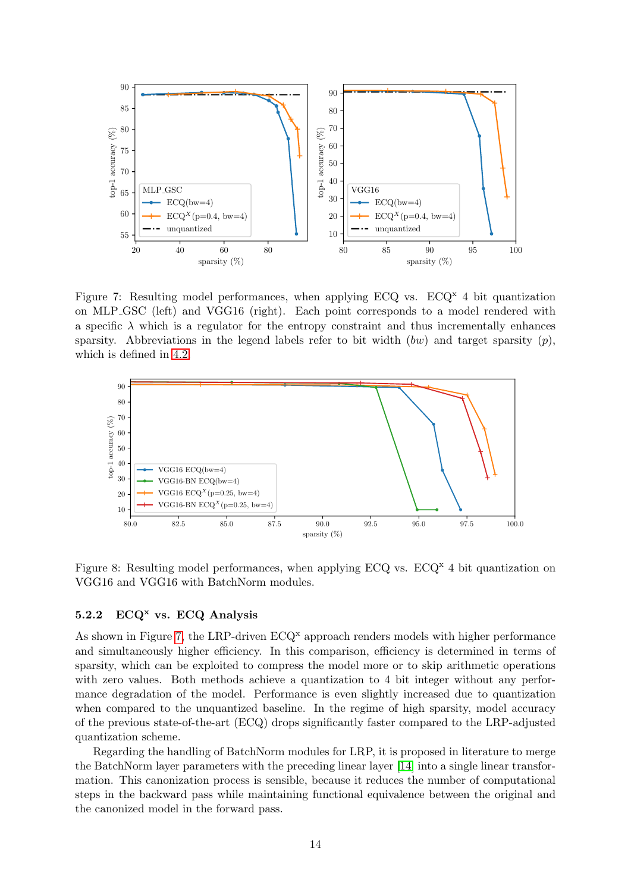

<span id="page-13-0"></span>Figure 7: Resulting model performances, when applying ECQ vs.  $ECQ^x$  4 bit quantization on MLP GSC (left) and VGG16 (right). Each point corresponds to a model rendered with a specific  $\lambda$  which is a regulator for the entropy constraint and thus incrementally enhances sparsity. Abbreviations in the legend labels refer to bit width  $(bw)$  and target sparsity  $(p)$ , which is defined in [4.2.](#page-8-0)



<span id="page-13-1"></span>Figure 8: Resulting model performances, when applying ECQ vs.  $ECQ^x$  4 bit quantization on VGG16 and VGG16 with BatchNorm modules.

# 5.2.2  $ECQ<sup>x</sup>$  vs.  $ECQ$  Analysis

As shown in Figure [7,](#page-13-0) the LRP-driven  $ECQ^x$  approach renders models with higher performance and simultaneously higher efficiency. In this comparison, efficiency is determined in terms of sparsity, which can be exploited to compress the model more or to skip arithmetic operations with zero values. Both methods achieve a quantization to 4 bit integer without any performance degradation of the model. Performance is even slightly increased due to quantization when compared to the unquantized baseline. In the regime of high sparsity, model accuracy of the previous state-of-the-art (ECQ) drops significantly faster compared to the LRP-adjusted quantization scheme.

Regarding the handling of BatchNorm modules for LRP, it is proposed in literature to merge the BatchNorm layer parameters with the preceding linear layer [\[14\]](#page-17-14) into a single linear transformation. This canonization process is sensible, because it reduces the number of computational steps in the backward pass while maintaining functional equivalence between the original and the canonized model in the forward pass.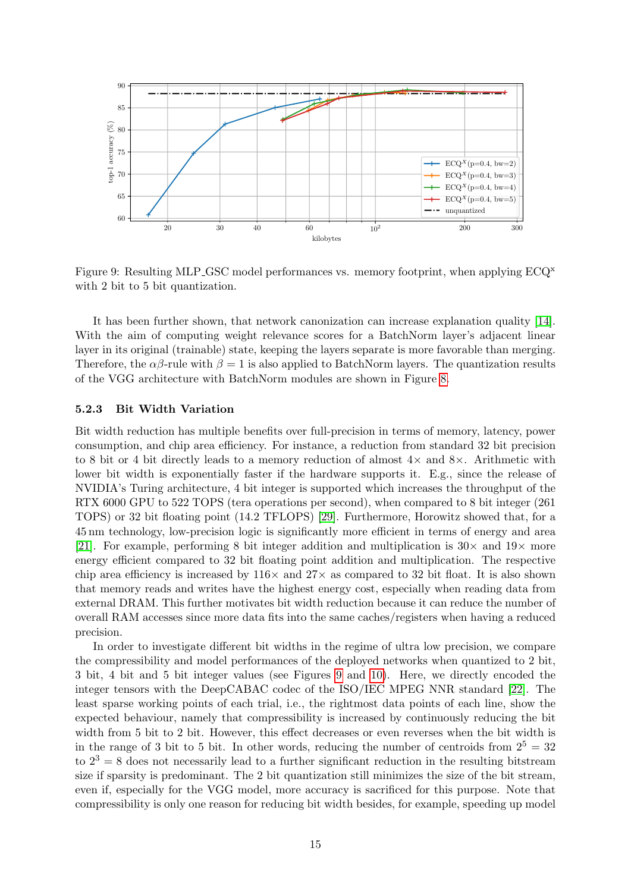

<span id="page-14-0"></span>Figure 9: Resulting MLP\_GSC model performances vs. memory footprint, when applying ECQ<sup>x</sup> with 2 bit to 5 bit quantization.

It has been further shown, that network canonization can increase explanation quality [\[14\]](#page-17-14). With the aim of computing weight relevance scores for a BatchNorm layer's adjacent linear layer in its original (trainable) state, keeping the layers separate is more favorable than merging. Therefore, the  $\alpha\beta$ -rule with  $\beta = 1$  is also applied to BatchNorm layers. The quantization results of the VGG architecture with BatchNorm modules are shown in Figure [8.](#page-13-1)

#### 5.2.3 Bit Width Variation

Bit width reduction has multiple benefits over full-precision in terms of memory, latency, power consumption, and chip area efficiency. For instance, a reduction from standard 32 bit precision to 8 bit or 4 bit directly leads to a memory reduction of almost  $4\times$  and  $8\times$ . Arithmetic with lower bit width is exponentially faster if the hardware supports it. E.g., since the release of NVIDIA's Turing architecture, 4 bit integer is supported which increases the throughput of the RTX 6000 GPU to 522 TOPS (tera operations per second), when compared to 8 bit integer (261 TOPS) or 32 bit floating point (14.2 TFLOPS) [\[29\]](#page-18-13). Furthermore, Horowitz showed that, for a 45 nm technology, low-precision logic is significantly more efficient in terms of energy and area [\[21\]](#page-18-14). For example, performing 8 bit integer addition and multiplication is  $30\times$  and  $19\times$  more energy efficient compared to 32 bit floating point addition and multiplication. The respective chip area efficiency is increased by  $116\times$  and  $27\times$  as compared to 32 bit float. It is also shown that memory reads and writes have the highest energy cost, especially when reading data from external DRAM. This further motivates bit width reduction because it can reduce the number of overall RAM accesses since more data fits into the same caches/registers when having a reduced precision.

In order to investigate different bit widths in the regime of ultra low precision, we compare the compressibility and model performances of the deployed networks when quantized to 2 bit, 3 bit, 4 bit and 5 bit integer values (see Figures [9](#page-14-0) and [10\)](#page-15-1). Here, we directly encoded the integer tensors with the DeepCABAC codec of the ISO/IEC MPEG NNR standard [\[22\]](#page-18-7). The least sparse working points of each trial, i.e., the rightmost data points of each line, show the expected behaviour, namely that compressibility is increased by continuously reducing the bit width from 5 bit to 2 bit. However, this effect decreases or even reverses when the bit width is in the range of 3 bit to 5 bit. In other words, reducing the number of centroids from  $2^5 = 32$ to  $2^3 = 8$  does not necessarily lead to a further significant reduction in the resulting bitstream size if sparsity is predominant. The 2 bit quantization still minimizes the size of the bit stream, even if, especially for the VGG model, more accuracy is sacrificed for this purpose. Note that compressibility is only one reason for reducing bit width besides, for example, speeding up model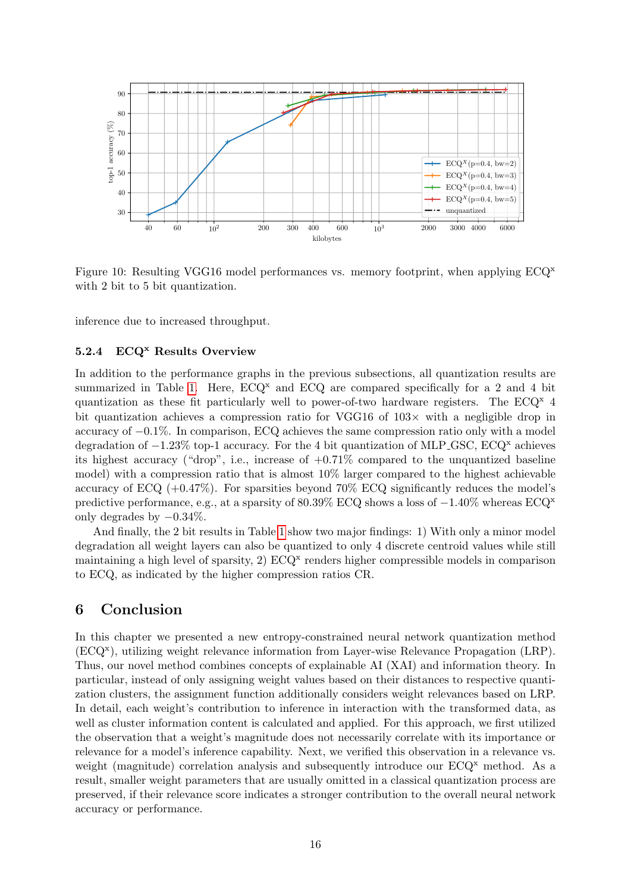

<span id="page-15-1"></span>Figure 10: Resulting VGG16 model performances vs. memory footprint, when applying  $ECQ^x$ with 2 bit to 5 bit quantization.

inference due to increased throughput.

#### 5.2.4 ECQ<sup>x</sup> Results Overview

In addition to the performance graphs in the previous subsections, all quantization results are summarized in Table [1.](#page-16-0) Here,  $ECQ^x$  and  $ECQ$  are compared specifically for a 2 and 4 bit quantization as these fit particularly well to power-of-two hardware registers. The  $ECQ^{\alpha}$  4 bit quantization achieves a compression ratio for VGG16 of  $103\times$  with a negligible drop in accuracy of −0.1%. In comparison, ECQ achieves the same compression ratio only with a model degradation of  $-1.23\%$  top-1 accuracy. For the 4 bit quantization of MLP GSC, ECQ<sup>x</sup> achieves its highest accuracy ("drop", i.e., increase of  $+0.71\%$  compared to the unquantized baseline model) with a compression ratio that is almost 10% larger compared to the highest achievable accuracy of ECQ  $(+0.47\%)$ . For sparsities beyond 70% ECQ significantly reduces the model's predictive performance, e.g., at a sparsity of  $80.39\%$  ECQ shows a loss of  $-1.40\%$  whereas ECQ<sup>x</sup> only degrades by  $-0.34\%$ .

And finally, the 2 bit results in Table [1](#page-16-0) show two major findings: 1) With only a minor model degradation all weight layers can also be quantized to only 4 discrete centroid values while still maintaining a high level of sparsity, 2) ECQ<sup>x</sup> renders higher compressible models in comparison to ECQ, as indicated by the higher compression ratios CR.

# <span id="page-15-0"></span>6 Conclusion

In this chapter we presented a new entropy-constrained neural network quantization method (ECQ<sup>x</sup> ), utilizing weight relevance information from Layer-wise Relevance Propagation (LRP). Thus, our novel method combines concepts of explainable AI (XAI) and information theory. In particular, instead of only assigning weight values based on their distances to respective quantization clusters, the assignment function additionally considers weight relevances based on LRP. In detail, each weight's contribution to inference in interaction with the transformed data, as well as cluster information content is calculated and applied. For this approach, we first utilized the observation that a weight's magnitude does not necessarily correlate with its importance or relevance for a model's inference capability. Next, we verified this observation in a relevance vs. weight (magnitude) correlation analysis and subsequently introduce our  $ECQ^x$  method. As a result, smaller weight parameters that are usually omitted in a classical quantization process are preserved, if their relevance score indicates a stronger contribution to the overall neural network accuracy or performance.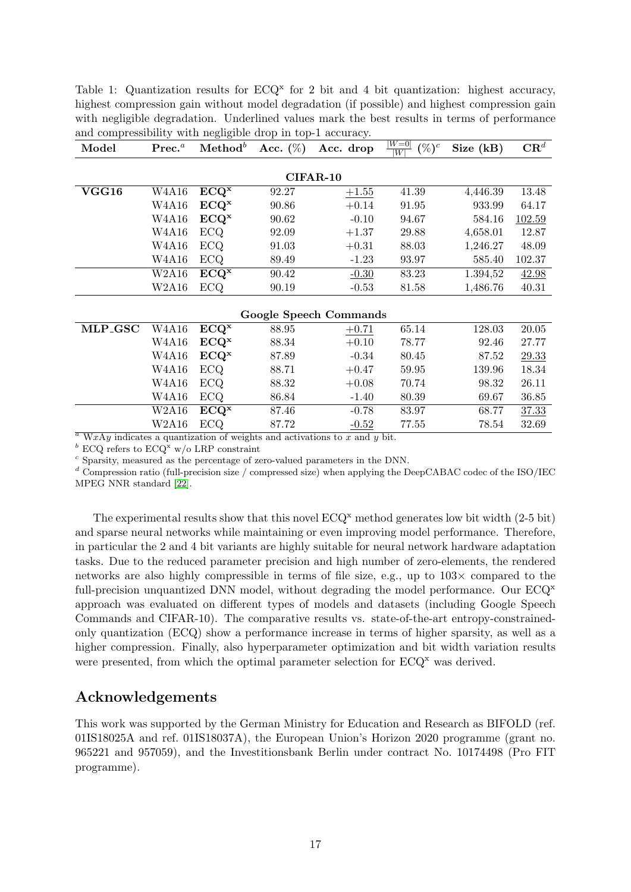<span id="page-16-0"></span>Table 1: Quantization results for  $ECQ<sup>x</sup>$  for 2 bit and 4 bit quantization: highest accuracy, highest compression gain without model degradation (if possible) and highest compression gain with negligible degradation. Underlined values mark the best results in terms of performance and compressibility with negligible drop in top-1 accuracy.

| Model                                                                          | $\text{Prec.}^a$ | Method <sup>b</sup>            | Acc. $(\%)$ | Acc. drop | $W=0$<br>$(\%)^c$<br> W | Size $(kB)$ | $\mathbf{CR}^d$ |
|--------------------------------------------------------------------------------|------------------|--------------------------------|-------------|-----------|-------------------------|-------------|-----------------|
|                                                                                |                  |                                |             |           |                         |             |                 |
| CIFAR-10                                                                       |                  |                                |             |           |                         |             |                 |
| VGG16                                                                          | <b>W4A16</b>     | ECQ <sup>x</sup>               | 92.27       | $+1.55$   | 41.39                   | 4,446.39    | 13.48           |
|                                                                                | W4A16            | ECQ <sup>x</sup>               | 90.86       | $+0.14$   | 91.95                   | 933.99      | 64.17           |
|                                                                                | W4A16            | ECQ <sup>x</sup>               | 90.62       | $-0.10$   | 94.67                   | 584.16      | 102.59          |
|                                                                                | W4A16            | ECQ                            | 92.09       | $+1.37$   | 29.88                   | 4,658.01    | 12.87           |
|                                                                                | <b>W4A16</b>     | ECQ                            | 91.03       | $+0.31$   | 88.03                   | 1,246.27    | 48.09           |
|                                                                                | W4A16            | ECQ                            | 89.49       | $-1.23$   | 93.97                   | 585.40      | 102.37          |
|                                                                                | W2A16            | ECQ <sup>x</sup>               | 90.42       | $-0.30$   | 83.23                   | 1.394,52    | 42.98           |
|                                                                                | W2A16            | ECQ                            | 90.19       | $-0.53$   | 81.58                   | 1,486.76    | 40.31           |
|                                                                                |                  |                                |             |           |                         |             |                 |
| Google Speech Commands                                                         |                  |                                |             |           |                         |             |                 |
| MLP_GSC                                                                        | W4A16            | ECQ <sup>x</sup>               | 88.95       | $+0.71$   | 65.14                   | 128.03      | 20.05           |
|                                                                                | W4A16            | ECQ <sup>x</sup>               | 88.34       | $+0.10$   | 78.77                   | 92.46       | 27.77           |
|                                                                                | <b>W4A16</b>     | ECQ <sup>x</sup>               | 87.89       | $-0.34$   | 80.45                   | 87.52       | 29.33           |
|                                                                                | W4A16            | ECQ                            | 88.71       | $+0.47$   | 59.95                   | 139.96      | 18.34           |
|                                                                                | W4A16            | ECQ                            | 88.32       | $+0.08$   | 70.74                   | 98.32       | 26.11           |
|                                                                                | W4A16            | ECQ                            | 86.84       | $-1.40$   | 80.39                   | 69.67       | 36.85           |
|                                                                                | W2A16            | ECQ <sup>x</sup>               | 87.46       | $-0.78$   | 83.97                   | 68.77       | 37.33           |
| $\overline{a}$ $\overline{r}$ $\overline{r}$ $\overline{a}$<br>$\cdot$ $\cdot$ | W2A16            | ECQ<br>$\cdot$ $\cdot$ $\cdot$ | 87.72       | $-0.52$   | 77.55<br>$\mathbf{1}$   | 78.54       | 32.69           |

 $WxAy$  indicates a quantization of weights and activations to x and y bit.

 $^b$  ECQ refers to ECQ<sup>x</sup> w/o LRP constraint

<sup>c</sup> Sparsity, measured as the percentage of zero-valued parameters in the DNN.

<sup>d</sup> Compression ratio (full-precision size / compressed size) when applying the DeepCABAC codec of the ISO/IEC MPEG NNR standard [\[22\]](#page-18-7).

The experimental results show that this novel  $ECQ^x$  method generates low bit width (2-5 bit) and sparse neural networks while maintaining or even improving model performance. Therefore, in particular the 2 and 4 bit variants are highly suitable for neural network hardware adaptation tasks. Due to the reduced parameter precision and high number of zero-elements, the rendered networks are also highly compressible in terms of file size, e.g., up to  $103 \times$  compared to the full-precision unquantized DNN model, without degrading the model performance. Our  $ECQ^x$ approach was evaluated on different types of models and datasets (including Google Speech Commands and CIFAR-10). The comparative results vs. state-of-the-art entropy-constrainedonly quantization (ECQ) show a performance increase in terms of higher sparsity, as well as a higher compression. Finally, also hyperparameter optimization and bit width variation results were presented, from which the optimal parameter selection for  $ECQ^x$  was derived.

## Acknowledgements

This work was supported by the German Ministry for Education and Research as BIFOLD (ref. 01IS18025A and ref. 01IS18037A), the European Union's Horizon 2020 programme (grant no. 965221 and 957059), and the Investitionsbank Berlin under contract No. 10174498 (Pro FIT programme).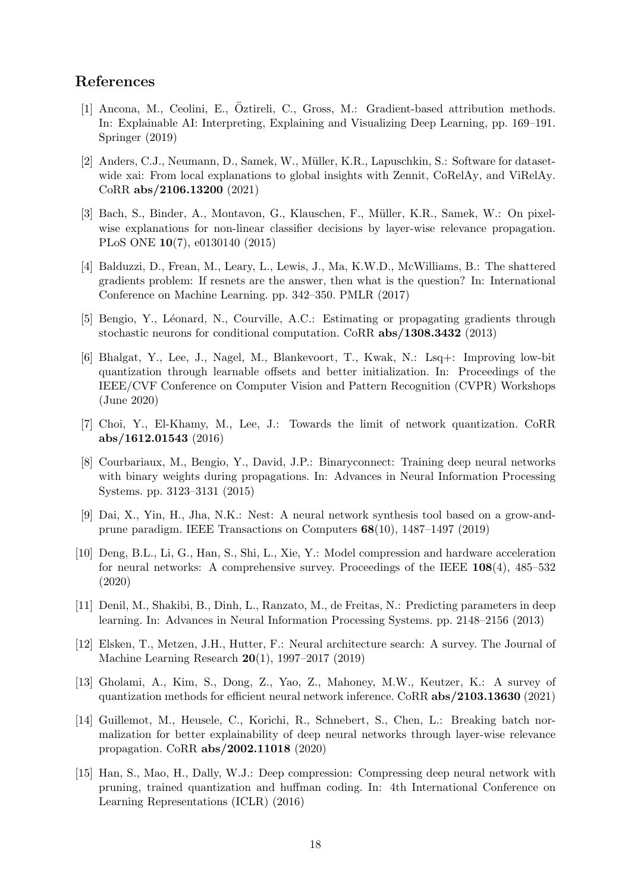## References

- <span id="page-17-10"></span>[1] Ancona, M., Ceolini, E., Öztireli, C., Gross, M.: Gradient-based attribution methods. In: Explainable AI: Interpreting, Explaining and Visualizing Deep Learning, pp. 169–191. Springer (2019)
- <span id="page-17-12"></span>[2] Anders, C.J., Neumann, D., Samek, W., Müller, K.R., Lapuschkin, S.: Software for datasetwide xai: From local explanations to global insights with Zennit, CoRelAy, and ViRelAy. CoRR abs/2106.13200 (2021)
- <span id="page-17-9"></span>[3] Bach, S., Binder, A., Montavon, G., Klauschen, F., Müller, K.R., Samek, W.: On pixelwise explanations for non-linear classifier decisions by layer-wise relevance propagation. PLoS ONE 10(7), e0130140 (2015)
- <span id="page-17-11"></span>[4] Balduzzi, D., Frean, M., Leary, L., Lewis, J., Ma, K.W.D., McWilliams, B.: The shattered gradients problem: If resnets are the answer, then what is the question? In: International Conference on Machine Learning. pp. 342–350. PMLR (2017)
- <span id="page-17-8"></span>[5] Bengio, Y., Léonard, N., Courville, A.C.: Estimating or propagating gradients through stochastic neurons for conditional computation. CoRR abs/1308.3432 (2013)
- <span id="page-17-2"></span>[6] Bhalgat, Y., Lee, J., Nagel, M., Blankevoort, T., Kwak, N.: Lsq+: Improving low-bit quantization through learnable offsets and better initialization. In: Proceedings of the IEEE/CVF Conference on Computer Vision and Pattern Recognition (CVPR) Workshops (June 2020)
- <span id="page-17-4"></span>[7] Choi, Y., El-Khamy, M., Lee, J.: Towards the limit of network quantization. CoRR abs/1612.01543 (2016)
- <span id="page-17-3"></span>[8] Courbariaux, M., Bengio, Y., David, J.P.: Binaryconnect: Training deep neural networks with binary weights during propagations. In: Advances in Neural Information Processing Systems. pp. 3123–3131 (2015)
- <span id="page-17-13"></span>[9] Dai, X., Yin, H., Jha, N.K.: Nest: A neural network synthesis tool based on a grow-andprune paradigm. IEEE Transactions on Computers 68(10), 1487–1497 (2019)
- <span id="page-17-0"></span>[10] Deng, B.L., Li, G., Han, S., Shi, L., Xie, Y.: Model compression and hardware acceleration for neural networks: A comprehensive survey. Proceedings of the IEEE 108(4), 485–532 (2020)
- <span id="page-17-7"></span>[11] Denil, M., Shakibi, B., Dinh, L., Ranzato, M., de Freitas, N.: Predicting parameters in deep learning. In: Advances in Neural Information Processing Systems. pp. 2148–2156 (2013)
- <span id="page-17-6"></span>[12] Elsken, T., Metzen, J.H., Hutter, F.: Neural architecture search: A survey. The Journal of Machine Learning Research 20(1), 1997–2017 (2019)
- <span id="page-17-1"></span>[13] Gholami, A., Kim, S., Dong, Z., Yao, Z., Mahoney, M.W., Keutzer, K.: A survey of quantization methods for efficient neural network inference. CoRR abs/2103.13630 (2021)
- <span id="page-17-14"></span>[14] Guillemot, M., Heusele, C., Korichi, R., Schnebert, S., Chen, L.: Breaking batch normalization for better explainability of deep neural networks through layer-wise relevance propagation. CoRR abs/2002.11018 (2020)
- <span id="page-17-5"></span>[15] Han, S., Mao, H., Dally, W.J.: Deep compression: Compressing deep neural network with pruning, trained quantization and huffman coding. In: 4th International Conference on Learning Representations (ICLR) (2016)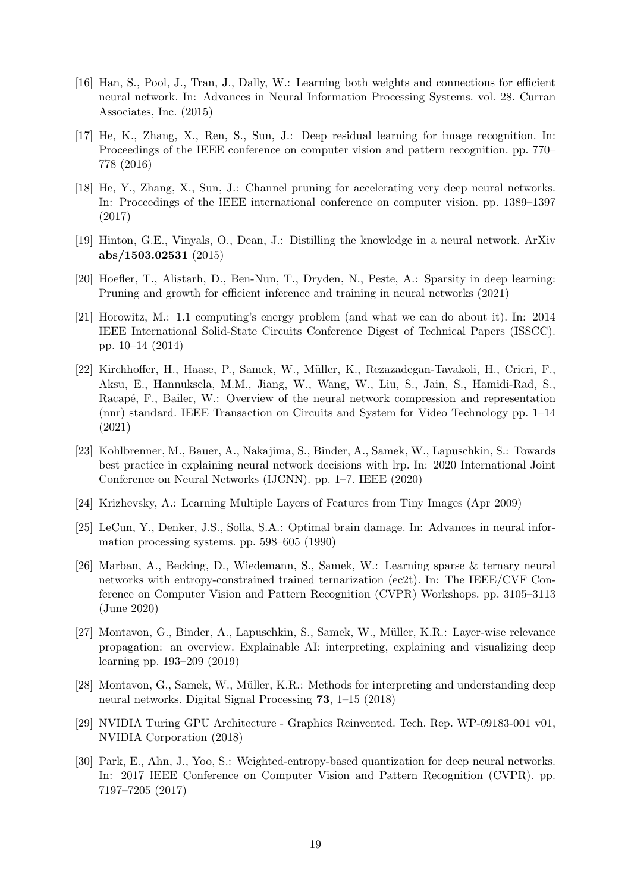- <span id="page-18-4"></span>[16] Han, S., Pool, J., Tran, J., Dally, W.: Learning both weights and connections for efficient neural network. In: Advances in Neural Information Processing Systems. vol. 28. Curran Associates, Inc. (2015)
- <span id="page-18-0"></span>[17] He, K., Zhang, X., Ren, S., Sun, J.: Deep residual learning for image recognition. In: Proceedings of the IEEE conference on computer vision and pattern recognition. pp. 770– 778 (2016)
- <span id="page-18-5"></span>[18] He, Y., Zhang, X., Sun, J.: Channel pruning for accelerating very deep neural networks. In: Proceedings of the IEEE international conference on computer vision. pp. 1389–1397 (2017)
- <span id="page-18-8"></span>[19] Hinton, G.E., Vinyals, O., Dean, J.: Distilling the knowledge in a neural network. ArXiv abs/1503.02531 (2015)
- <span id="page-18-1"></span>[20] Hoefler, T., Alistarh, D., Ben-Nun, T., Dryden, N., Peste, A.: Sparsity in deep learning: Pruning and growth for efficient inference and training in neural networks (2021)
- <span id="page-18-14"></span>[21] Horowitz, M.: 1.1 computing's energy problem (and what we can do about it). In: 2014 IEEE International Solid-State Circuits Conference Digest of Technical Papers (ISSCC). pp. 10–14 (2014)
- <span id="page-18-7"></span>[22] Kirchhoffer, H., Haase, P., Samek, W., M¨uller, K., Rezazadegan-Tavakoli, H., Cricri, F., Aksu, E., Hannuksela, M.M., Jiang, W., Wang, W., Liu, S., Jain, S., Hamidi-Rad, S., Racapé, F., Bailer, W.: Overview of the neural network compression and representation (nnr) standard. IEEE Transaction on Circuits and System for Video Technology pp. 1–14 (2021)
- <span id="page-18-11"></span>[23] Kohlbrenner, M., Bauer, A., Nakajima, S., Binder, A., Samek, W., Lapuschkin, S.: Towards best practice in explaining neural network decisions with lrp. In: 2020 International Joint Conference on Neural Networks (IJCNN). pp. 1–7. IEEE (2020)
- <span id="page-18-12"></span>[24] Krizhevsky, A.: Learning Multiple Layers of Features from Tiny Images (Apr 2009)
- <span id="page-18-6"></span>[25] LeCun, Y., Denker, J.S., Solla, S.A.: Optimal brain damage. In: Advances in neural information processing systems. pp. 598–605 (1990)
- <span id="page-18-2"></span>[26] Marban, A., Becking, D., Wiedemann, S., Samek, W.: Learning sparse & ternary neural networks with entropy-constrained trained ternarization (ec2t). In: The IEEE/CVF Conference on Computer Vision and Pattern Recognition (CVPR) Workshops. pp. 3105–3113 (June 2020)
- <span id="page-18-9"></span>[27] Montavon, G., Binder, A., Lapuschkin, S., Samek, W., M¨uller, K.R.: Layer-wise relevance propagation: an overview. Explainable AI: interpreting, explaining and visualizing deep learning pp. 193–209 (2019)
- <span id="page-18-10"></span>[28] Montavon, G., Samek, W., Müller, K.R.: Methods for interpreting and understanding deep neural networks. Digital Signal Processing 73, 1–15 (2018)
- <span id="page-18-13"></span>[29] NVIDIA Turing GPU Architecture - Graphics Reinvented. Tech. Rep. WP-09183-001\_v01, NVIDIA Corporation (2018)
- <span id="page-18-3"></span>[30] Park, E., Ahn, J., Yoo, S.: Weighted-entropy-based quantization for deep neural networks. In: 2017 IEEE Conference on Computer Vision and Pattern Recognition (CVPR). pp. 7197–7205 (2017)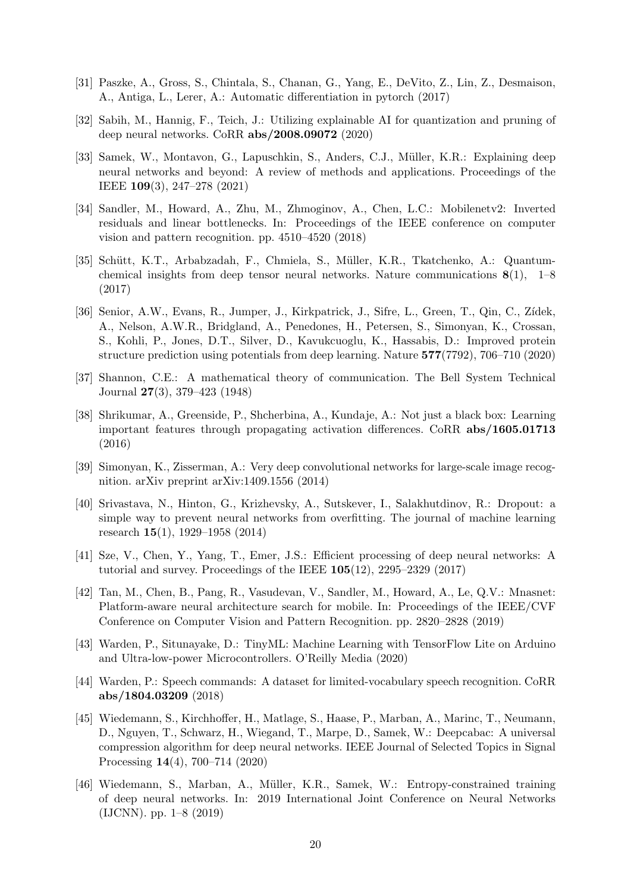- <span id="page-19-11"></span>[31] Paszke, A., Gross, S., Chintala, S., Chanan, G., Yang, E., DeVito, Z., Lin, Z., Desmaison, A., Antiga, L., Lerer, A.: Automatic differentiation in pytorch (2017)
- <span id="page-19-5"></span>[32] Sabih, M., Hannig, F., Teich, J.: Utilizing explainable AI for quantization and pruning of deep neural networks. CoRR abs/2008.09072 (2020)
- <span id="page-19-10"></span>[33] Samek, W., Montavon, G., Lapuschkin, S., Anders, C.J., M¨uller, K.R.: Explaining deep neural networks and beyond: A review of methods and applications. Proceedings of the IEEE 109(3), 247–278 (2021)
- <span id="page-19-7"></span>[34] Sandler, M., Howard, A., Zhu, M., Zhmoginov, A., Chen, L.C.: Mobilenetv2: Inverted residuals and linear bottlenecks. In: Proceedings of the IEEE conference on computer vision and pattern recognition. pp. 4510–4520 (2018)
- <span id="page-19-0"></span>[35] Schütt, K.T., Arbabzadah, F., Chmiela, S., Müller, K.R., Tkatchenko, A.: Quantumchemical insights from deep tensor neural networks. Nature communications  $8(1)$ , 1–8 (2017)
- <span id="page-19-1"></span>[36] Senior, A.W., Evans, R., Jumper, J., Kirkpatrick, J., Sifre, L., Green, T., Qin, C., Zídek, A., Nelson, A.W.R., Bridgland, A., Penedones, H., Petersen, S., Simonyan, K., Crossan, S., Kohli, P., Jones, D.T., Silver, D., Kavukcuoglu, K., Hassabis, D.: Improved protein structure prediction using potentials from deep learning. Nature 577(7792), 706–710 (2020)
- <span id="page-19-9"></span>[37] Shannon, C.E.: A mathematical theory of communication. The Bell System Technical Journal 27(3), 379–423 (1948)
- <span id="page-19-12"></span>[38] Shrikumar, A., Greenside, P., Shcherbina, A., Kundaje, A.: Not just a black box: Learning important features through propagating activation differences. CoRR abs/1605.01713 (2016)
- <span id="page-19-2"></span>[39] Simonyan, K., Zisserman, A.: Very deep convolutional networks for large-scale image recognition. arXiv preprint arXiv:1409.1556 (2014)
- <span id="page-19-14"></span>[40] Srivastava, N., Hinton, G., Krizhevsky, A., Sutskever, I., Salakhutdinov, R.: Dropout: a simple way to prevent neural networks from overfitting. The journal of machine learning research 15(1), 1929–1958 (2014)
- <span id="page-19-4"></span>[41] Sze, V., Chen, Y., Yang, T., Emer, J.S.: Efficient processing of deep neural networks: A tutorial and survey. Proceedings of the IEEE  $105(12)$ ,  $2295-2329$  (2017)
- <span id="page-19-8"></span>[42] Tan, M., Chen, B., Pang, R., Vasudevan, V., Sandler, M., Howard, A., Le, Q.V.: Mnasnet: Platform-aware neural architecture search for mobile. In: Proceedings of the IEEE/CVF Conference on Computer Vision and Pattern Recognition. pp. 2820–2828 (2019)
- <span id="page-19-3"></span>[43] Warden, P., Situnayake, D.: TinyML: Machine Learning with TensorFlow Lite on Arduino and Ultra-low-power Microcontrollers. O'Reilly Media (2020)
- <span id="page-19-15"></span>[44] Warden, P.: Speech commands: A dataset for limited-vocabulary speech recognition. CoRR abs/1804.03209 (2018)
- <span id="page-19-6"></span>[45] Wiedemann, S., Kirchhoffer, H., Matlage, S., Haase, P., Marban, A., Marinc, T., Neumann, D., Nguyen, T., Schwarz, H., Wiegand, T., Marpe, D., Samek, W.: Deepcabac: A universal compression algorithm for deep neural networks. IEEE Journal of Selected Topics in Signal Processing 14(4), 700–714 (2020)
- <span id="page-19-13"></span>[46] Wiedemann, S., Marban, A., Müller, K.R., Samek, W.: Entropy-constrained training of deep neural networks. In: 2019 International Joint Conference on Neural Networks (IJCNN). pp. 1–8 (2019)